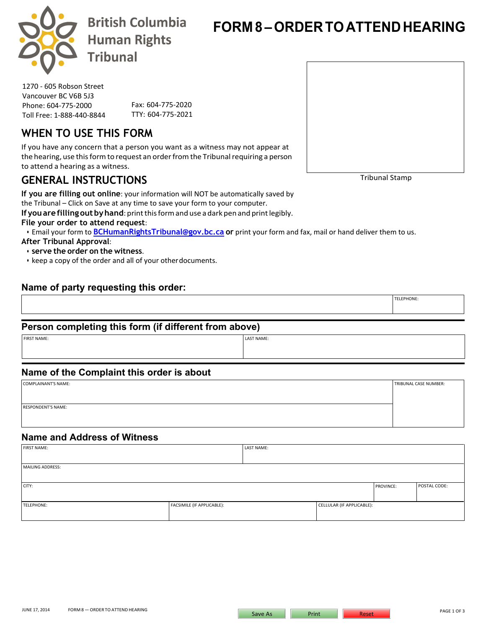

**British Columbia Human Rights Tribunal** 

**FORM 8 – ORDER TOATTEND HEARING**

1270 - 605 Robson Street Vancouver BC V6B 5J3 Phone: 604-775-2000 Toll Free: 1-888-440-8844

Fax: 604-775-2020 TTY: 604-775-2021

## **WHEN TO USE THIS FORM**

If you have any concern that a person you want as a witness may not appear at the hearing, use this form to request an order from the Tribunal requiring a person to attend a hearing as a witness.

## **GENERAL INSTRUCTIONS**

**If you are filling out online**: your information will NOT be automatically saved by the Tribunal – Click on Save at any time to save your form to your computer.

**Ifyouarefillingout byhand**: print this formand use a dark pen and print legibly.

**File your order to attend request**:

• Email your form to **[BCHumanRightsTribunal@gov.bc.ca](mailto:BCHumanRightsTribunal@gov.bc.ca) [o](mailto:BCHumanRightsTribunal@gov.bc.ca)r** print your form and fax, mail or hand deliver them to us. **After Tribunal Approval**:

• **serve the order on the witness**.

• keep a copy of the order and all of your otherdocuments.

### **Name of party requesting this order:**

### **Person completing this form (if different from above)**

| <b>FIRST NAME:</b> | LAST NAME: |
|--------------------|------------|
|                    |            |

### **Name of the Complaint this order is about**

| COMPLAINANT'S NAME:       | TRIBUNAL CASE NUMBER: |
|---------------------------|-----------------------|
|                           |                       |
|                           |                       |
| <b>RESPONDENT'S NAME:</b> |                       |
|                           |                       |
|                           |                       |

### **Name and Address of Witness**

| <b>FIRST NAME:</b>      |                            | LAST NAME: |                           |           |              |
|-------------------------|----------------------------|------------|---------------------------|-----------|--------------|
|                         |                            |            |                           |           |              |
| <b>MAILING ADDRESS:</b> |                            |            |                           |           |              |
|                         |                            |            |                           |           |              |
| CITY:                   |                            |            |                           | PROVINCE: | POSTAL CODE: |
|                         |                            |            |                           |           |              |
| TELEPHONE:              | FACSIMILE (IF APPLICABLE): |            | CELLULAR (IF APPLICABLE): |           |              |
|                         |                            |            |                           |           |              |

Tribunal Stamp

TELEPHONE: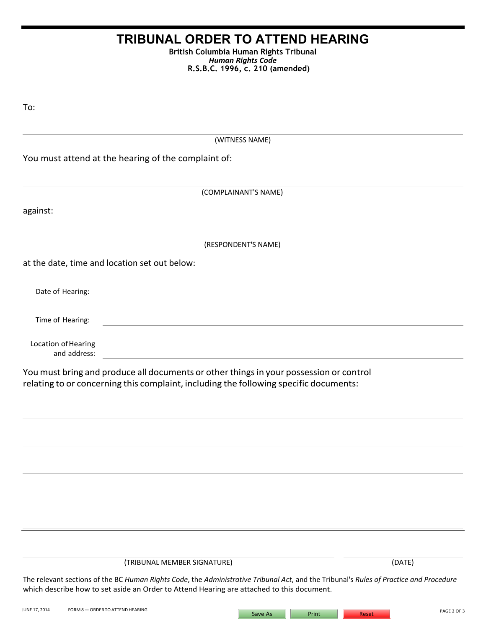# **TRIBUNAL ORDER TO ATTEND HEARING**

**British Columbia Human Rights Tribunal** *Human Rights Code* **R.S.B.C. 1996, c. 210 (amended)**

| To:                                                                                                                                                                             |  |
|---------------------------------------------------------------------------------------------------------------------------------------------------------------------------------|--|
| (WITNESS NAME)                                                                                                                                                                  |  |
| You must attend at the hearing of the complaint of:                                                                                                                             |  |
| (COMPLAINANT'S NAME)                                                                                                                                                            |  |
| against:                                                                                                                                                                        |  |
| (RESPONDENT'S NAME)                                                                                                                                                             |  |
| at the date, time and location set out below:                                                                                                                                   |  |
| Date of Hearing:                                                                                                                                                                |  |
| Time of Hearing:                                                                                                                                                                |  |
| Location of Hearing<br>and address:                                                                                                                                             |  |
| You must bring and produce all documents or other things in your possession or control<br>relating to or concerning this complaint, including the following specific documents: |  |
|                                                                                                                                                                                 |  |
|                                                                                                                                                                                 |  |
|                                                                                                                                                                                 |  |
|                                                                                                                                                                                 |  |

(TRIBUNAL MEMBER SIGNATURE) (DATE)

The relevant sections of the BC *Human Rights Code*, the *Administrative Tribunal Act*, and the Tribunal's *Rules of Practice and Procedure* which describe how to set aside an Order to Attend Hearing are attached to this document.